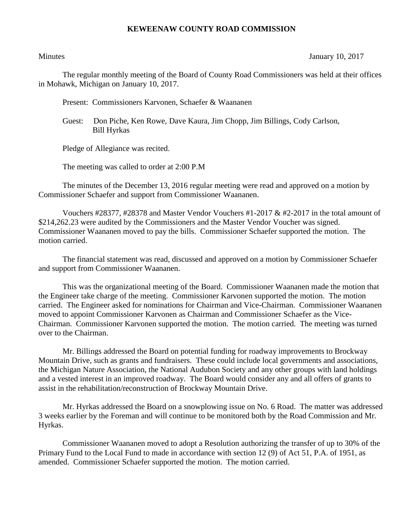## **KEWEENAW COUNTY ROAD COMMISSION**

Minutes January 10, 2017

The regular monthly meeting of the Board of County Road Commissioners was held at their offices in Mohawk, Michigan on January 10, 2017.

Present: Commissioners Karvonen, Schaefer & Waananen

 Guest: Don Piche, Ken Rowe, Dave Kaura, Jim Chopp, Jim Billings, Cody Carlson, Bill Hyrkas

Pledge of Allegiance was recited.

The meeting was called to order at 2:00 P.M

The minutes of the December 13, 2016 regular meeting were read and approved on a motion by Commissioner Schaefer and support from Commissioner Waananen.

Vouchers  $\#28377$ ,  $\#28378$  and Master Vendor Vouchers  $\#1-2017 \& \#2-2017$  in the total amount of \$214,262.23 were audited by the Commissioners and the Master Vendor Voucher was signed. Commissioner Waananen moved to pay the bills. Commissioner Schaefer supported the motion. The motion carried.

The financial statement was read, discussed and approved on a motion by Commissioner Schaefer and support from Commissioner Waananen.

This was the organizational meeting of the Board. Commissioner Waananen made the motion that the Engineer take charge of the meeting. Commissioner Karvonen supported the motion. The motion carried. The Engineer asked for nominations for Chairman and Vice-Chairman. Commissioner Waananen moved to appoint Commissioner Karvonen as Chairman and Commissioner Schaefer as the Vice-Chairman. Commissioner Karvonen supported the motion. The motion carried. The meeting was turned over to the Chairman.

Mr. Billings addressed the Board on potential funding for roadway improvements to Brockway Mountain Drive, such as grants and fundraisers. These could include local governments and associations, the Michigan Nature Association, the National Audubon Society and any other groups with land holdings and a vested interest in an improved roadway. The Board would consider any and all offers of grants to assist in the rehabilitation/reconstruction of Brockway Mountain Drive.

Mr. Hyrkas addressed the Board on a snowplowing issue on No. 6 Road. The matter was addressed 3 weeks earlier by the Foreman and will continue to be monitored both by the Road Commission and Mr. Hyrkas.

Commissioner Waananen moved to adopt a Resolution authorizing the transfer of up to 30% of the Primary Fund to the Local Fund to made in accordance with section 12 (9) of Act 51, P.A. of 1951, as amended. Commissioner Schaefer supported the motion. The motion carried.